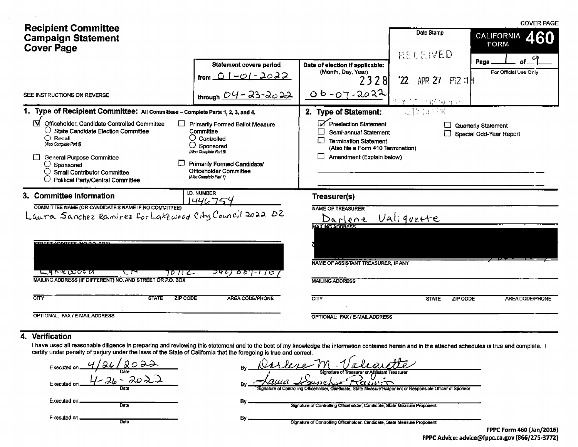|                                                                                                                                                                                                                                                                                                                                                                             |                                                                                                                                                                                                                    |                                                                                                                                                                            |                           | <b>COVER PAGE</b>                                     |
|-----------------------------------------------------------------------------------------------------------------------------------------------------------------------------------------------------------------------------------------------------------------------------------------------------------------------------------------------------------------------------|--------------------------------------------------------------------------------------------------------------------------------------------------------------------------------------------------------------------|----------------------------------------------------------------------------------------------------------------------------------------------------------------------------|---------------------------|-------------------------------------------------------|
| <b>Recipient Committee</b><br><b>Campaign Statement</b><br><b>Cover Page</b>                                                                                                                                                                                                                                                                                                |                                                                                                                                                                                                                    |                                                                                                                                                                            | Date Stamp<br>RECENED     | 460<br><b>CALIFORNIA</b><br><b>FORM</b>               |
|                                                                                                                                                                                                                                                                                                                                                                             | <b>Statement covers period</b><br><u>from <math>O 1 - O 1 - 2022</math></u>                                                                                                                                        | Date of election if applicable:<br>(Month, Day, Year)<br>2328I                                                                                                             | '22<br>P12.1B<br>APR $27$ | Page<br>For Official Use Only                         |
| SEE INSTRUCTIONS ON REVERSE                                                                                                                                                                                                                                                                                                                                                 | through $04 - 23 - 202$                                                                                                                                                                                            | $06 - 07 - 2022$                                                                                                                                                           | (尾部) (注)                  |                                                       |
| 1. Type of Recipient Committee: All Committees - Complete Parts 1, 2, 3, and 4.<br>™<br>Officeholder, Candidate Controlled Committee<br>$\bigcirc$ State Candidate Election Committee<br>$\cap$ Recall<br>(Also Complete Part 5)<br>General Purpose Committee<br>$\bigcirc$ Sponsored<br>$\bigcirc$ Small Contributor Committee<br>$\cup$ Political Party/Central Committee | <b>Primarily Formed Ballot Measure</b><br>Committee<br>$\bigcirc$ Controlled<br>O<br>Sponsored<br>(Also Complete Part 6)<br><b>Primarily Formed Candidate/</b><br>Officeholder Committee<br>(Also Complete Part 7) | 2. Type of Statement:<br>Preelection Statement<br>Semi-annual Statement<br><b>Termination Statement</b><br>(Also file a Form 410 Termination)<br>Amendment (Explain below) | 高区員自ห                     | <b>Quarterly Statement</b><br>Special Odd-Year Report |
| 3. Committee Information<br>COMMITTEE NAME (OR CANDIDATE'S NAME IF NO COMMITTEE)<br>Laura Sanchez Ramirez for Lakewood City Council 2022 DZ                                                                                                                                                                                                                                 | <b>I.D. NUMBER</b><br><u> 1446754</u>                                                                                                                                                                              | Treasurer(s)<br><b>NAME OF TREASURER</b><br>Darlene<br><b>MAILING ADDRESS</b>                                                                                              | Valiquette                |                                                       |
| <b>STREET ABBREES AIO BO BOY</b><br>⊏प^र <i>⊽०० ल</i><br>CH<br>70 II Z<br>MAILING ADDRESS (IF DIFFERENT) NO. AND STREET OR P.O. BOX                                                                                                                                                                                                                                         | ज्कट) ठ <i>ठ</i> 7-17 ख                                                                                                                                                                                            | NAME OF ASSISTANT TREASURER, IF ANY<br><b>MAILING ADDRESS</b>                                                                                                              |                           |                                                       |
| CITY<br><b>STATE</b><br><b>ZIP CODE</b>                                                                                                                                                                                                                                                                                                                                     | <b>AREA CODE/PHONE</b>                                                                                                                                                                                             | $\overline{\text{CITY}}$                                                                                                                                                   | <b>STATE</b><br>ZIP CODE  | <b>AREA CODE/PHONE</b>                                |
| OPTIONAL: FAX / E-MAIL ADDRESS                                                                                                                                                                                                                                                                                                                                              |                                                                                                                                                                                                                    | OPTIONAL: FAX / E-MAIL ADDRESS                                                                                                                                             |                           |                                                       |

### 4. Verification

 $\ddot{\phantom{a}}$ 

 $\sim$ 

I have used all reasonable diligence in preparing and reviewing this statement and to the best of my knowledge the information contained herein and in the attached schedules is true and complete. I<br>certify under penalty of  $\overline{\phantom{a}}$ 

| Executed on.        | $\frac{1}{2}$                                                                                                                                   |
|---------------------|-------------------------------------------------------------------------------------------------------------------------------------------------|
| Date                | Signature of Treasurer or Assistant Treasurer                                                                                                   |
| Executed on<br>Date | $\gamma$ a $\mu$<br>$\sim$ unche-<br>Signature of Controlling Officeholder, Candidate, State Measure Ruponent or Responsible Officer of Sponsor |
| Executed on.        | В٧                                                                                                                                              |
| Date                | Signature of Controlling Officeholder, Candidate, State Measure Proponent                                                                       |
| Executed on,        | Β٧.                                                                                                                                             |
| Date                | Signature of Controlling Officeholder, Candidate, State Measure Proponent                                                                       |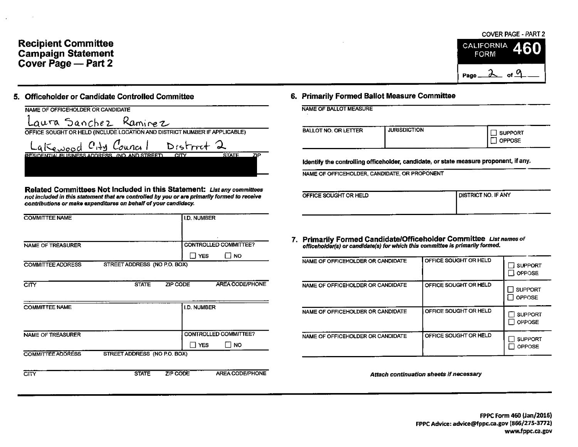# Recipient Committee Campaign Statement California and the control of the control of the control of the control of the control of the control of the control of the control of the control of the control of the control of the control of the cont Cover Page — Part 2

| NAME OF OFFICEHOLDER OR CANDIDATE                                                          | <b>NAME OF BALLOT MEASURE</b>                 |                    |
|--------------------------------------------------------------------------------------------|-----------------------------------------------|--------------------|
| Laura Sanchez Raminez                                                                      |                                               |                    |
| OFFICE SOUGHT OR HELD (INCLUDE LOCATION AND DISTRICT NUMBER IF APPLICABLE)                 | <b>BALLOT NO. OR LETTER</b>                   | <b>JURISDICTIO</b> |
| Lakewood City Council District 2                                                           |                                               |                    |
| <b>STATE</b><br>ZIP<br><b>RESIDENTIAL/BLISINESS ADDRESS (NO AND STREET)</b><br><b>CITY</b> | Identify the controlling officeholder, candi- |                    |
|                                                                                            | NAME OF OFFICEHOLDER, CANDIDATE, OR PR        |                    |

Related Committees Not Included in this Statement: List any committees not included in this statement that are controlled by you or are primarily formed to receive contributions or make expenditures on behalf of your candidacy.

| <b>COMMITTEE NAME</b>    |                              | I.D. NUMBER                                         |                                                                                                                                    |                                         |
|--------------------------|------------------------------|-----------------------------------------------------|------------------------------------------------------------------------------------------------------------------------------------|-----------------------------------------|
| NAME OF TREASURER        |                              | CONTROLLED COMMITTEE?<br>$\Box$ NO<br><b>NO</b> YES | 7. Primarily Formed Candidate/Officeholder Committee<br>officeholder(s) or candidate(s) for which this committee is primarily forn |                                         |
| <b>COMMITTEE ADDRESS</b> | STREET ADDRESS (NO P.O. BOX) |                                                     | NAME OF OFFICEHOLDER OR CANDIDATE                                                                                                  | OFFICE SOUGHT OR HELD                   |
| CITY                     | ZIP CODE<br><b>STATE</b>     | AREA CODE/PHONE                                     | NAME OF OFFICEHOLDER OR CANDIDATE                                                                                                  | OFFICE SOUGHT OR HELD                   |
| <b>COMMITTEE NAME</b>    |                              | I.D. NUMBER                                         | NAME OF OFFICEHOLDER OR CANDIDATE                                                                                                  | OFFICE SOUGHT OR HELD                   |
| <b>NAME OF TREASURER</b> |                              | CONTROLLED COMMITTEE?<br>$\square$ NO<br>I TI YES   | NAME OF OFFICEHOLDER OR CANDIDATE                                                                                                  | OFFICE SOUGHT OR HELD                   |
| <b>COMMITTEE ADDRESS</b> | STREET ADDRESS (NO P.O. BOX) |                                                     |                                                                                                                                    |                                         |
| <b>CITY</b>              | ZIP CODE<br><b>STATE</b>     | AREA CODE/PHONE                                     |                                                                                                                                    | Attach continuation sheets if necessary |

## 5. Officeholder or Candidate Controlled Committee 6. Primarily Formed Ballot Measure Committee

| <b>NAME OF BALLOT MEASURE</b> |  |
|-------------------------------|--|
|-------------------------------|--|

|  | <b>BALLOT NO. OR LETTER</b> | <b>JURISDICTION</b> | <b>SUPPORT</b><br><b>OPPOSE</b> |
|--|-----------------------------|---------------------|---------------------------------|
|--|-----------------------------|---------------------|---------------------------------|

Identify the controlling officeholder, candidate, or state measure proponent, if any.

NAME OF OFFICEHOLDER, CANDIDATE, OR PROPONENT

| OFFICE SOUGHT OR HELD | I DISTRICT NO. IF ANY |
|-----------------------|-----------------------|
|                       |                       |
|                       |                       |

7. Primarily Formed Candidate/Officeholder Committee List names of<br>officeholder(s) or candidate(s) for which this committee is primarily formed.

| NAME OF OFFICEHOLDER OR CANDIDATE | OFFICE SOUGHT OR HELD | <b>SUPPORT</b><br><b>OPPOSE</b> |
|-----------------------------------|-----------------------|---------------------------------|
| NAME OF OFFICEHOLDER OR CANDIDATE | OFFICE SOUGHT OR HELD | <b>SUPPORT</b><br>OPPOSE        |
| NAME OF OFFICEHOLDER OR CANDIDATE | OFFICE SOUGHT OR HELD | <b>SUPPORT</b><br>OPPOSE        |
| NAME OF OFFICEHOLDER OR CANDIDATE | OFFICE SOUGHT OR HELD | <b>SUPPORT</b><br>OPPOSE        |

FPPC Form 460( Jan/ 2016) FPPC Advice: advice@fppc.ca.gov (866/275-3772) www.fppc.ca.gov

COVER PAGE- PART 2

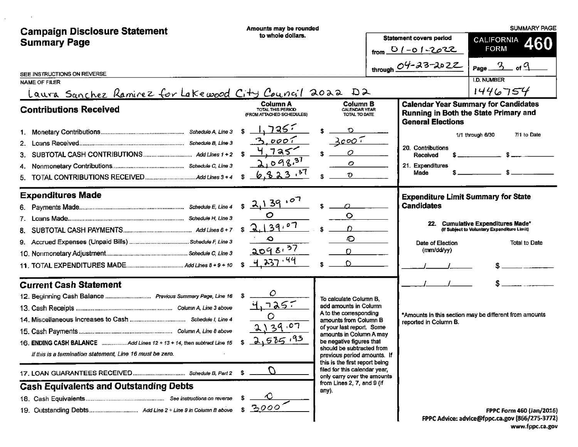| <b>Campaign Disclosure Statement</b>                                                                                                                                                                                                                                               | Amounts may be rounded                                            |                                                                                                                                                                                                                                                                                                                                                                                             |  |                                                                                                   | <b>SUMMARY PAGE</b>                                                                                      |  |
|------------------------------------------------------------------------------------------------------------------------------------------------------------------------------------------------------------------------------------------------------------------------------------|-------------------------------------------------------------------|---------------------------------------------------------------------------------------------------------------------------------------------------------------------------------------------------------------------------------------------------------------------------------------------------------------------------------------------------------------------------------------------|--|---------------------------------------------------------------------------------------------------|----------------------------------------------------------------------------------------------------------|--|
| <b>Summary Page</b>                                                                                                                                                                                                                                                                | to whole dollars.                                                 |                                                                                                                                                                                                                                                                                                                                                                                             |  | <b>Statement covers period</b>                                                                    | <b>CALIFORNIA</b><br>460                                                                                 |  |
|                                                                                                                                                                                                                                                                                    |                                                                   |                                                                                                                                                                                                                                                                                                                                                                                             |  | $f_{\text{from}}$ 0/-01-2022                                                                      | <b>FORM</b>                                                                                              |  |
| SEE INSTRUCTIONS ON REVERSE                                                                                                                                                                                                                                                        |                                                                   |                                                                                                                                                                                                                                                                                                                                                                                             |  | through $04 - 23 - 2022$                                                                          | Page $3$ of $4$                                                                                          |  |
| <b>NAME OF FILER</b>                                                                                                                                                                                                                                                               |                                                                   |                                                                                                                                                                                                                                                                                                                                                                                             |  |                                                                                                   | <b>I.D. NUMBER</b>                                                                                       |  |
| Laura Sanchez Ramirez for Lakewood City Council 2022 D2                                                                                                                                                                                                                            |                                                                   |                                                                                                                                                                                                                                                                                                                                                                                             |  |                                                                                                   | 1446754                                                                                                  |  |
| <b>Contributions Received</b>                                                                                                                                                                                                                                                      | Column A<br><b>TOTAL THIS PERIOD</b><br>(FROM ATTACHED SCHEDULES) | <b>Column B</b><br><b>CALENDAR YEAR</b><br>TOTAL TO DATE                                                                                                                                                                                                                                                                                                                                    |  |                                                                                                   | <b>Calendar Year Summary for Candidates</b><br>Running in Both the State Primary and                     |  |
| З.                                                                                                                                                                                                                                                                                 | <u>7367</u><br>0007<br>795<br>1098.37<br>6,823.57                 | O<br>30007<br>Ο<br>o<br>Ð                                                                                                                                                                                                                                                                                                                                                                   |  | <b>General Elections</b><br>20. Contributions<br>Received<br>21. Expenditures<br>Made             | 7/1 to Date<br>1/1 through 6/30                                                                          |  |
| <b>Expenditures Made</b>                                                                                                                                                                                                                                                           | $32139^{07}$<br>2.139.07<br>£.<br>◇<br>2098.57<br>4.237.44<br>S   | $\circ$<br>n<br>O                                                                                                                                                                                                                                                                                                                                                                           |  | <b>Expenditure Limit Summary for State</b><br><b>Candidates</b><br>Date of Election<br>(mm/dd/yy) | 22. Cumulative Expenditures Made*<br>(If Subject to Voluntary Expenditure Limit)<br><b>Total to Date</b> |  |
| <b>Current Cash Statement</b><br>12. Beginning Cash Balance  Previous Summary Page, Line 16<br>16. ENDING CASH BALANCE Add Lines 12 + 13 + 14, then subtract Line 15<br>If this is a termination statement, Line 16 must be zero.<br><b>Cash Equivalents and Outstanding Debts</b> | O<br>47257<br>2139.07<br>2,585,93<br>\$ 3000                      | To calculate Column B.<br>add amounts in Column<br>A to the corresponding<br>amounts from Column B<br>of your last report. Some<br>amounts in Column A may<br>be negative figures that<br>should be subtracted from<br>previous period amounts. If<br>this is the first report being<br>filed for this calendar year,<br>only carry over the amounts<br>from Lines 2, 7, and 9 (if<br>any). |  | reported in Column B.                                                                             | *Amounts in this section may be different from amounts<br>FPPC Form 460 (Jan/2016)                       |  |
|                                                                                                                                                                                                                                                                                    |                                                                   |                                                                                                                                                                                                                                                                                                                                                                                             |  |                                                                                                   | FPPC Advice: advice@fppc.ca.gov (866/275-3772)                                                           |  |

www.fppc.ca.gov

 $\Delta \phi = 0.000$  and  $\phi$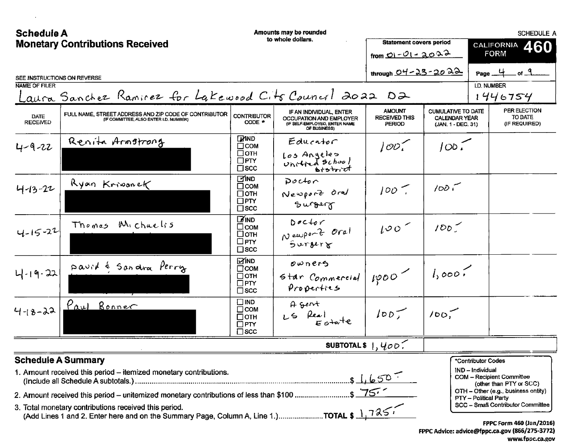| <b>Schedule A</b><br>Amounts may be rounded |                                                                                                                                                   |                                              |                                                                                                     |                                                        | <b>SCHEDULE A</b>                                                       |                                   |                                                             |
|---------------------------------------------|---------------------------------------------------------------------------------------------------------------------------------------------------|----------------------------------------------|-----------------------------------------------------------------------------------------------------|--------------------------------------------------------|-------------------------------------------------------------------------|-----------------------------------|-------------------------------------------------------------|
|                                             | <b>Monetary Contributions Received</b>                                                                                                            |                                              | to whole dollars.                                                                                   | <b>Statement covers period</b>                         |                                                                         |                                   | 460<br><b>CALIFORNIA</b>                                    |
|                                             |                                                                                                                                                   |                                              |                                                                                                     | from $01 - 01 - 202$                                   |                                                                         |                                   | <b>FORM</b>                                                 |
| SEE INSTRUCTIONS ON REVERSE                 |                                                                                                                                                   |                                              |                                                                                                     | through $O4 - 23 - 202$                                |                                                                         | Page $4$<br>$_{\rm 1 of}$ $^{-2}$ |                                                             |
| NAME OF FILER                               |                                                                                                                                                   |                                              |                                                                                                     |                                                        |                                                                         | <b>I.D. NUMBER</b>                |                                                             |
|                                             | Laura Sanchez Ramirez for Lakewood Cits Council 2022 D2                                                                                           |                                              |                                                                                                     |                                                        |                                                                         |                                   | 1446754                                                     |
| DATE<br><b>RECEIVED</b>                     | FULL NAME, STREET ADDRESS AND ZIP CODE OF CONTRIBUTOR<br>(IF COMMITTEE, ALSO ENTER I.D. NUMBER)                                                   | <b>CONTRIBUTOR</b><br>CODE *                 | IF AN INDIVIDUAL, ENTER<br>OCCUPATION AND EMPLOYER<br>(IF SELF-EMPLOYED, ENTER NAME<br>OF BUSINESS) | <b>AMOUNT</b><br><b>RECEIVED THIS</b><br><b>PERIOD</b> | <b>CUMULATIVE TO DATE</b><br><b>CALENDAR YEAR</b><br>(JAN. 1 - DEC. 31) |                                   | PER ELECTION<br>TO DATE<br>(IF REQUIRED)                    |
|                                             | Renita Armstrong                                                                                                                                  | <b>DAND</b><br>$\Box$ COM                    | Educator                                                                                            | 100 <sup>2</sup>                                       | 100.                                                                    |                                   |                                                             |
| $4 - 9 - 22$                                |                                                                                                                                                   | $\Box$ OTH<br>$\Box$ PTY<br>$\square$ scc    | Los Angeles<br>Unitred School                                                                       |                                                        |                                                                         |                                   |                                                             |
|                                             | Ryan Kriwanek                                                                                                                                     | <b>TIND</b><br>$\Box$ COM                    | Doctor                                                                                              |                                                        | 100 <sup>2</sup>                                                        |                                   |                                                             |
| $4 - 13 - 22$                               |                                                                                                                                                   | $\Box$ OTH<br>$\Box$ PTY<br>$\square$ scc    | Newport Oral<br>Surger                                                                              | 100<                                                   |                                                                         |                                   |                                                             |
|                                             | Michaelis<br>Thomas                                                                                                                               | $\Box$ IND<br>$\Box$ COM                     | Decq                                                                                                | 100<                                                   | 100<                                                                    |                                   |                                                             |
| $4 - 15 - 22$                               |                                                                                                                                                   | □отн<br>$\square$ PTY<br>$\square$ scc       | Newport Oral<br>Surgerx                                                                             |                                                        |                                                                         |                                   |                                                             |
|                                             | pavid & Sandra Perry                                                                                                                              | <b>MIND</b><br>$\Box$ COM                    | owners                                                                                              |                                                        |                                                                         |                                   |                                                             |
| 4-19-22                                     |                                                                                                                                                   | $\Box$ OTH<br>$\square$ PTY<br>$\square$ scc | Star Commercial<br>Properties                                                                       | $\mu_{\rho}$                                           | 1,000.                                                                  |                                   |                                                             |
| $4 - 8 - 22$                                | <u>Paul Bonner</u>                                                                                                                                | $\square$ IND<br>$\Box$ COM                  | $A$ gent                                                                                            |                                                        |                                                                         |                                   |                                                             |
|                                             |                                                                                                                                                   | $\Box$ OTH<br>$\Box$ PTY<br>$\square$ scc    | LS Real<br>Estate                                                                                   | $100^{-7}$                                             | 100 <sub>1</sub>                                                        |                                   |                                                             |
|                                             |                                                                                                                                                   |                                              |                                                                                                     | SUBTOTAL \$ $1, 400$ .                                 |                                                                         |                                   |                                                             |
| <b>Schedule A Summary</b>                   |                                                                                                                                                   |                                              |                                                                                                     |                                                        |                                                                         | *Contributor Codes                |                                                             |
|                                             | 1. Amount received this period - itemized monetary contributions.                                                                                 |                                              |                                                                                                     |                                                        |                                                                         | IND - Individual                  | <b>COM - Recipient Committee</b><br>(other than PTY or SCC) |
|                                             |                                                                                                                                                   |                                              |                                                                                                     |                                                        |                                                                         | PTY - Political Party             | OTH - Other (e.g., business entity)                         |
|                                             | (Add Lines 1 and 2. Enter here and on the Summary Page, Column A, Line 1.)TOTAL \$ 1,725<br>3. Total monetary contributions received this period. |                                              |                                                                                                     |                                                        |                                                                         |                                   | SCC - Small Contributor Committee                           |
|                                             |                                                                                                                                                   |                                              |                                                                                                     |                                                        |                                                                         |                                   | <b>FPPC Form 460 (Jan/2016)</b>                             |
|                                             |                                                                                                                                                   |                                              |                                                                                                     |                                                        |                                                                         |                                   | FPPC Advice: advice@fppc.ca.gov (866/275-3772)              |

 $\sim 10^{11}$  km  $^{-1}$ 

www.fppc.ca.gov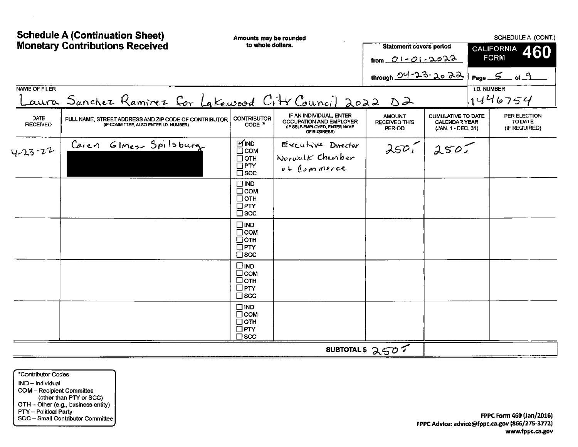|                                | <b>Schedule A (Continuation Sheet)</b>                                                          |                                                                           | Amounts may be rounded                                                                              | SCHEDULE A (CONT.)                                      |                                                                         |                                          |  |  |  |
|--------------------------------|-------------------------------------------------------------------------------------------------|---------------------------------------------------------------------------|-----------------------------------------------------------------------------------------------------|---------------------------------------------------------|-------------------------------------------------------------------------|------------------------------------------|--|--|--|
|                                | <b>Monetary Contributions Received</b>                                                          | to whole dollars.                                                         |                                                                                                     | <b>Statement covers period</b><br>from $Q1 - Q1 - 2022$ |                                                                         | CALIFORNIA 460<br><b>FORM</b>            |  |  |  |
|                                |                                                                                                 |                                                                           |                                                                                                     | through $O4 - 23 - 202$                                 |                                                                         | Page $5$ of $1$                          |  |  |  |
| NAME OF FILER                  | Laura Sanchez Ramirez Cor Lakewood City Council 2022 D2                                         |                                                                           |                                                                                                     |                                                         |                                                                         | <b>I.D. NUMBER</b><br>1446754            |  |  |  |
| <b>DATE</b><br><b>RECEIVED</b> | FULL NAME, STREET ADDRESS AND ZIP CODE OF CONTRIBUTOR<br>(IF COMMITTEE, ALSO ENTER I,D. NUMBER) | <b>CONTRIBUTOR</b><br>CODE *                                              | IF AN INDIVIDUAL, ENTER<br>OCCUPATION AND EMPLOYER<br>(IF SELF-EMPLOYED, ENTER NAME<br>OF BUSINESS) | <b>AMOUNT</b><br><b>RECEIVED THIS</b><br><b>PERIOD</b>  | <b>CUMULATIVE TO DATE</b><br><b>CALENDAR YEAR</b><br>(JAN. 1 - DEC. 31) | PER ELECTION<br>TO DATE<br>(IF REQUIRED) |  |  |  |
| $4 - 23 - 22$                  | Caren Glores Spilsburg                                                                          | <b>MIND</b><br>$\square$ COM<br>$\Box$ OTH<br>$\Box$ PTY<br>$\square$ scc | Excutive Director<br>Now with <b>Cham</b> ber<br>of Commerce                                        |                                                         | 250.1250.7                                                              |                                          |  |  |  |
|                                |                                                                                                 | $\Box$ IND<br>$\Box$ COM<br>$\Box$ OTH<br>$\Box$ PTY<br>$\square$ scc     |                                                                                                     |                                                         |                                                                         |                                          |  |  |  |
|                                |                                                                                                 | $\square$ IND<br>$\Box$ COM<br>$\Box$ OTH<br>$\Box$ PTY<br>$\square$ scc  |                                                                                                     |                                                         |                                                                         |                                          |  |  |  |
|                                |                                                                                                 | $\square$ IND<br>$\square$ COM<br>□отн<br>$\square$ PTY<br>$\square$ scc  |                                                                                                     |                                                         |                                                                         |                                          |  |  |  |
|                                |                                                                                                 | $\Box$ IND<br>$\Box$ COM<br>$\Box$ OTH<br>$\Box$ PTY<br>$\square$ scc     |                                                                                                     |                                                         |                                                                         |                                          |  |  |  |
|                                |                                                                                                 |                                                                           |                                                                                                     | SUBTOTALS 2507                                          |                                                                         |                                          |  |  |  |

\*Contributor Codes IND - Individual **COM** - Recipient Committee

(other than PTY or SCC)<br>OTH - Other (e.g., business entity)<br>PTY - Political Party<br>SCC - Small Contributor Committee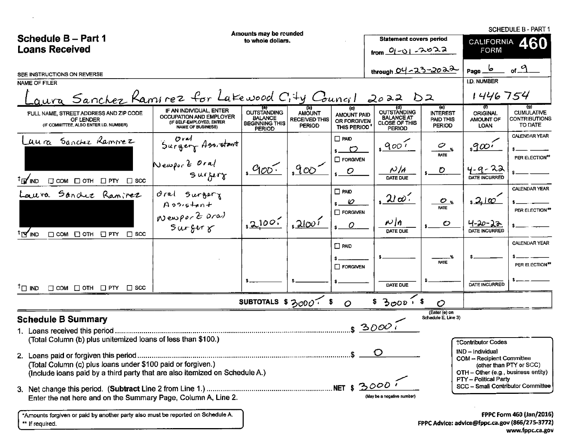| Amounts may be reunded                                                                                                                     |                                                                                                            |                                                                                |                                                        |                                                                |                                                                                  |                                                             | <b>SCHEDULE B - PART 1</b>                                                                                    |                                                                            |  |
|--------------------------------------------------------------------------------------------------------------------------------------------|------------------------------------------------------------------------------------------------------------|--------------------------------------------------------------------------------|--------------------------------------------------------|----------------------------------------------------------------|----------------------------------------------------------------------------------|-------------------------------------------------------------|---------------------------------------------------------------------------------------------------------------|----------------------------------------------------------------------------|--|
| Schedule B - Part 1                                                                                                                        |                                                                                                            | to whole dollars.                                                              |                                                        |                                                                |                                                                                  | <b>Statement covers period</b><br>CALIFORNIA 460            |                                                                                                               |                                                                            |  |
| <b>Loans Received</b>                                                                                                                      |                                                                                                            |                                                                                |                                                        |                                                                | from $01 - 01 - 2022$                                                            | <b>FORM</b>                                                 |                                                                                                               |                                                                            |  |
| SEE INSTRUCTIONS ON REVERSE                                                                                                                |                                                                                                            |                                                                                |                                                        |                                                                | through $04 - 23 - 2022$                                                         |                                                             | Page <u>b</u>                                                                                                 | of $\mathcal{A}$                                                           |  |
| NAME OF FILER                                                                                                                              |                                                                                                            |                                                                                |                                                        |                                                                |                                                                                  |                                                             | I.D. NUMBER                                                                                                   |                                                                            |  |
| aura Sanchez Ramirez for Lakewood City Council                                                                                             |                                                                                                            |                                                                                |                                                        |                                                                | $2022$ $D2$                                                                      |                                                             | 1446754                                                                                                       |                                                                            |  |
| FULL NAME, STREET ADDRESS AND ZIP CODE<br>OF LENDER<br>(IF COMMITTEE, ALSO ENTER I.D. NUMBER)                                              | IF AN INDIVIDUAL, ENTER<br>OCCUPATION AND EMPLOYER<br>(IF SELF-EMPLOYED, ENTER<br><b>NAME OF BUSINESS)</b> | <b>OUTSTANDING</b><br><b>BALANCE</b><br><b>BEGINNING THIS</b><br><b>PERIOD</b> | <b>AMOUNT</b><br><b>RECEIVED THIS</b><br><b>PERIOD</b> | {c}<br><b>AMOUNT PAID</b><br><b>OR FORGIVEN</b><br>THIS PERIOD | <b>OUTSTANDING</b><br><b>BALANCE AT</b><br><b>CLOSE OF THIS</b><br><b>PERIOD</b> | (o)<br><b>INTEREST</b><br><b>PAID THIS</b><br><b>PERIOD</b> | O)<br>ORIGINAL<br>AMOUNT OF<br>LOAN                                                                           | 回<br><b>CUMULATIVE</b><br><b>CONTRIBUTIONS</b><br>TO DATE                  |  |
| Laura Sanchez Rammez                                                                                                                       | Orel<br>Surger Assistant                                                                                   |                                                                                |                                                        | $\square$ PAID<br>$\mathbf{C}$<br>$\Box$ FORGIVEN              | .9001                                                                            | $\boldsymbol{\varphi}$<br>-%<br><b>RATE</b>                 | <u> ရထပ်</u>                                                                                                  | <b>CALENDAR YEAR</b><br><b>PER ELECTION**</b>                              |  |
| $\Box$ COM $\Box$ OTH $\Box$ PTY $\Box$ SCC<br>™W <mark>∖</mark> ∏                                                                         | Newport Oral<br>Surfery                                                                                    | <u>900.</u>                                                                    | <u>,900</u>                                            | $\bm{\mathcal{O}}$                                             | $\mathcal{N}/\mathcal{A}$<br>DATE DUE                                            | Đ                                                           | 4-9-22<br><b>DATE INCURRED</b>                                                                                |                                                                            |  |
| Laura Sanchez Ramirez                                                                                                                      | Oral Surgery<br>$A$ 99.5 $tan+$<br>Wewport aral                                                            |                                                                                |                                                        | $\Box$ PAID<br>$\sqrt{2}$<br>$\Box$ FORGIVEN                   | $2\omega$                                                                        | $O_{\%}$<br>RATE                                            | <u>, 2,100</u>                                                                                                | <b>CALENDAR YEAR</b><br>PER ELECTION**                                     |  |
| <sup>t</sup> MD<br>$\Box$ COM $\Box$ OTH $\Box$ PTY<br>$\Box$ scc                                                                          | Surfur                                                                                                     | 32100.                                                                         | <u>, 2100 i</u>                                        | $\mathbf{s}$ $\mathcal{O}$                                     | $\mathcal{N}$ la<br>DATE DUE                                                     | o                                                           | <u>4-20-22</u><br>DATE INCURRED                                                                               |                                                                            |  |
|                                                                                                                                            |                                                                                                            |                                                                                |                                                        | $\Box$ PAID<br>$\Box$ Forgiven                                 |                                                                                  | <b>RATE</b>                                                 |                                                                                                               | <b>CALENDAR YEAR</b><br>PER ELECTION**                                     |  |
| <sup>T</sup> ⊡ IND<br>$\Box$ COM $\Box$ OTH $\Box$ PTY $\Box$ SCC                                                                          |                                                                                                            |                                                                                |                                                        |                                                                | DATE DUE                                                                         |                                                             | DATE INCURRED                                                                                                 |                                                                            |  |
|                                                                                                                                            |                                                                                                            | SUBTOTALS \$ $3000$ <sup>7</sup>                                               |                                                        | $\overline{O}$                                                 | $3000 \times$ \$                                                                 | $\mathcal{O}$                                               |                                                                                                               |                                                                            |  |
| <b>Schedule B Summary</b><br>1. Loans received this period                                                                                 |                                                                                                            |                                                                                |                                                        |                                                                | 3000i                                                                            | (Enter (e) on<br>Schedule E, Line 3)                        |                                                                                                               |                                                                            |  |
| (Total Column (b) plus unitemized loans of less than \$100.)                                                                               |                                                                                                            |                                                                                |                                                        |                                                                |                                                                                  |                                                             | <b>TContributor Codes</b>                                                                                     |                                                                            |  |
| (Total Column (c) plus loans under \$100 paid or forgiven.)<br>(Include loans paid by a third party that are also itemized on Schedule A.) |                                                                                                            |                                                                                |                                                        |                                                                |                                                                                  |                                                             | IND - Individual<br>COM - Recipient Committee<br>OTH - Other (e.g., business entity)<br>PTY - Political Party | (other than PTY or SCC)                                                    |  |
| Enter the net here and on the Summary Page, Column A, Line 2.                                                                              |                                                                                                            |                                                                                |                                                        |                                                                | (May be a negative number)                                                       |                                                             |                                                                                                               | SCC - Small Contributor Committee                                          |  |
| *Amounts forgiven or paid by another party also must be reported on Schedule A.<br>** If required.                                         |                                                                                                            |                                                                                |                                                        |                                                                |                                                                                  |                                                             |                                                                                                               | FPPC Form 460 (Jan/2016)<br>FPPC Advice: advice@fppc.ca.gov (866/275-3772) |  |

 $\sim$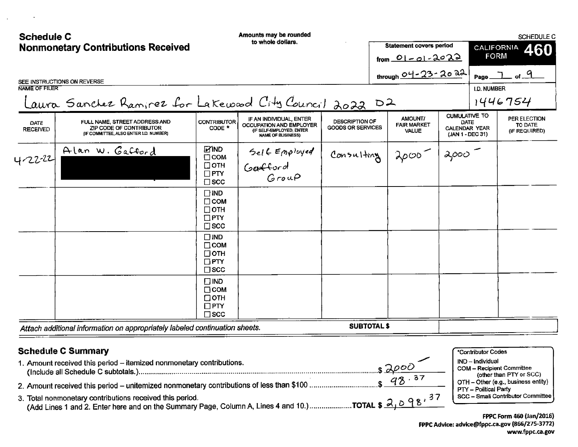| <b>Schedule C</b>                                                    |                                                                                                                                                                    | Amounts may be rounded                                                      |                                                                                                                   |                                                   |                    |                                               |                                                                                 | <b>SCHEDULE C</b>     |                                                                                   |
|----------------------------------------------------------------------|--------------------------------------------------------------------------------------------------------------------------------------------------------------------|-----------------------------------------------------------------------------|-------------------------------------------------------------------------------------------------------------------|---------------------------------------------------|--------------------|-----------------------------------------------|---------------------------------------------------------------------------------|-----------------------|-----------------------------------------------------------------------------------|
| <b>Nonmonetary Contributions Received</b>                            |                                                                                                                                                                    | to whole dollars.                                                           |                                                                                                                   | <b>Statement covers period</b>                    |                    |                                               | <b>CALIFORNIA</b><br>460                                                        |                       |                                                                                   |
|                                                                      |                                                                                                                                                                    |                                                                             |                                                                                                                   |                                                   | from $O[-Q]$ -2022 |                                               | <b>FORM</b>                                                                     |                       |                                                                                   |
|                                                                      | SEE INSTRUCTIONS ON REVERSE                                                                                                                                        |                                                                             |                                                                                                                   |                                                   |                    | through $04 - 23 - 20$ a2                     |                                                                                 | Page.                 | . of $\mathcal{A}$                                                                |
| NAME OF FILER                                                        |                                                                                                                                                                    |                                                                             |                                                                                                                   |                                                   |                    |                                               |                                                                                 | I.D. NUMBER           |                                                                                   |
|                                                                      | Laura Sanchez Ramirez for Lakewood City Council 2022 D2                                                                                                            |                                                                             |                                                                                                                   |                                                   |                    |                                               |                                                                                 |                       | 1446754                                                                           |
| <b>DATE</b><br><b>RECEIVED</b>                                       | FULL NAME, STREET ADDRESS AND<br>ZIP CODE OF CONTRIBUTOR<br>(IF COMMITTEE, ALSO ENTER I.D. NUMBER)                                                                 | <b>CONTRIBUTOR</b><br>CODE *                                                | IF AN INDIVIDUAL, ENTER<br><b>OCCUPATION AND EMPLOYER</b><br>(IF SELF-EMPLOYED, ENTER<br><b>NAME OF BUSINESS)</b> | <b>DESCRIPTION OF</b><br><b>GOODS OR SERVICES</b> |                    | AMOUNT/<br><b>FAIR MARKET</b><br><b>VALUE</b> | <b>CUMULATIVE TO</b><br>DATE<br><b>CALENDAR YEAR</b><br>(JAN 1 - DEC 31)        |                       | PER ELECTION<br>TO DATE<br>(IF REQUIRED)                                          |
| 4/2222                                                               | Alan W. Gafford                                                                                                                                                    | <b>EYIND</b><br>$\Box$ COM<br>$\Box$ OTH<br>$\Box$ PTY<br>$\Box$ SCC        | Self Employed<br>Gastford<br>Group                                                                                | Consulting                                        | 2000               |                                               | 2000                                                                            |                       |                                                                                   |
|                                                                      |                                                                                                                                                                    | $\square$ IND<br>$\sqcap$ COM<br>$\Box$ OTH<br>$\Box$ PTY<br>$\square$ scc  |                                                                                                                   |                                                   |                    |                                               |                                                                                 |                       |                                                                                   |
|                                                                      |                                                                                                                                                                    | $\square$ IND<br>$\Box$ COM<br>$\Box$ OTH<br>$\Box$ PTY<br>$\square$ SCC    |                                                                                                                   |                                                   |                    |                                               |                                                                                 |                       |                                                                                   |
|                                                                      |                                                                                                                                                                    | $\Box$ IND<br>$\square$ COM<br>$\Box$ OTH<br>$\square$ PTY<br>$\square$ SCC |                                                                                                                   |                                                   |                    |                                               |                                                                                 |                       |                                                                                   |
|                                                                      | Attach additional information on appropriately labeled continuation sheets.                                                                                        |                                                                             |                                                                                                                   | <b>SUBTOTAL \$</b>                                |                    |                                               |                                                                                 |                       |                                                                                   |
|                                                                      | <b>Schedule C Summary</b>                                                                                                                                          |                                                                             |                                                                                                                   |                                                   |                    |                                               |                                                                                 | *Contributor Codes    |                                                                                   |
| 1. Amount received this period - itemized nonmonetary contributions. |                                                                                                                                                                    |                                                                             |                                                                                                                   |                                                   |                    |                                               | IND - Individual<br><b>COM - Recipient Committee</b><br>(other than PTY or SCC) |                       |                                                                                   |
|                                                                      |                                                                                                                                                                    |                                                                             |                                                                                                                   |                                                   |                    |                                               |                                                                                 | PTY - Political Party | OTH - Other (e.g., business entity)                                               |
|                                                                      | (Add Lines 1 and 2. Enter here and on the Summary Page, Column A, Lines 4 and 10.)TOTAL \$ 2, 0 98, 37<br>3. Total nonmonetary contributions received this period. |                                                                             |                                                                                                                   |                                                   |                    |                                               |                                                                                 |                       | SCC - Small Contributor Committee                                                 |
|                                                                      |                                                                                                                                                                    |                                                                             |                                                                                                                   |                                                   |                    |                                               |                                                                                 |                       | <b>FPPC Form 460 (Jan/2016)</b><br>FPPC Advice: advice@fppc.ca.gov (866/275-3772) |

 $\sim 10^{-10}$ 

 $\sim 100$  km s  $^{-1}$ 

e@fppc.ca.gov ۱۰۰۰۰, ...<br>www.fppc.ca.gov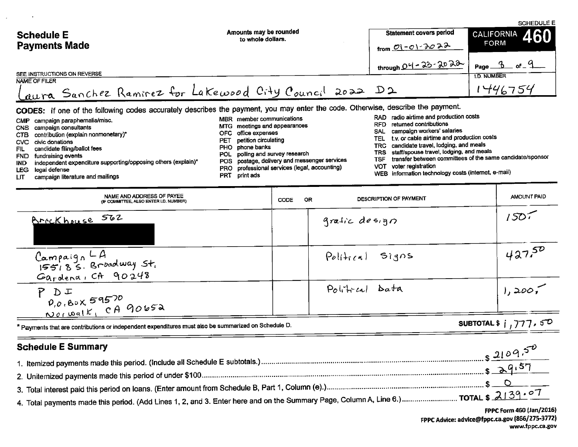|                                                                                                                                                                                                                                                                                                                                                                                                                                                                                                                                                                                                                                                                                                                                                                                                                                                                                                                                                                                                                                                                                                                                                                                                                                                                                                                                      |                                             | <b>SCHEDULE E</b> |                                                      |                                        |  |  |
|--------------------------------------------------------------------------------------------------------------------------------------------------------------------------------------------------------------------------------------------------------------------------------------------------------------------------------------------------------------------------------------------------------------------------------------------------------------------------------------------------------------------------------------------------------------------------------------------------------------------------------------------------------------------------------------------------------------------------------------------------------------------------------------------------------------------------------------------------------------------------------------------------------------------------------------------------------------------------------------------------------------------------------------------------------------------------------------------------------------------------------------------------------------------------------------------------------------------------------------------------------------------------------------------------------------------------------------|---------------------------------------------|-------------------|------------------------------------------------------|----------------------------------------|--|--|
| <b>Schedule E</b><br><b>Payments Made</b>                                                                                                                                                                                                                                                                                                                                                                                                                                                                                                                                                                                                                                                                                                                                                                                                                                                                                                                                                                                                                                                                                                                                                                                                                                                                                            | Amounts may be rounded<br>to whole dollars. |                   | <b>Statement covers period</b><br>from $O(-O)-3O2^2$ | 460<br><b>CALIFORNIA</b><br>FORM       |  |  |
| SEE INSTRUCTIONS ON REVERSE                                                                                                                                                                                                                                                                                                                                                                                                                                                                                                                                                                                                                                                                                                                                                                                                                                                                                                                                                                                                                                                                                                                                                                                                                                                                                                          |                                             |                   | through $O(1 - 23 - 202)$                            | Page $3$ of $-9$<br><b>1.D. NUMBER</b> |  |  |
| NAME OF FILER<br>Laura Sanchez Ramirez for Lakewood City Council 2022 D2                                                                                                                                                                                                                                                                                                                                                                                                                                                                                                                                                                                                                                                                                                                                                                                                                                                                                                                                                                                                                                                                                                                                                                                                                                                             |                                             |                   |                                                      | 1446754                                |  |  |
| CODES: If one of the following codes accurately describes the payment, you may enter the code. Otherwise, describe the payment.<br>radio airtime and production costs<br>RAD.<br>MBR member communications<br>campaign paraphernalia/misc.<br><b>CMP</b><br>retumed contributions<br>RFD.<br>MTG meetings and appearances<br>campaign consultants<br><b>CNS</b><br>campaign workers' salaries<br>SAL.<br>office expenses<br>OFC.<br>contribution (explain nonmonetary)*<br>CTB.<br>t.v. or cable airtime and production costs<br><b>TEL</b><br>petition circulating<br>PET<br>civic donations<br><b>CVC</b><br>candidate travel, lodging, and meals<br><b>TRC</b><br>phone banks<br>PHO.<br>candidate filing/ballot fees<br>FIL.<br>staff/spouse travel, lodging, and meals<br><b>TRS</b><br>polling and survey research<br>POL.<br>fundraising events<br><b>FND</b><br>transfer between committees of the same candidate/sponsor<br><b>TSF</b><br>postage, delivery and messenger services<br><b>POS</b><br>independent expenditure supporting/opposing others (explain)*<br>IND.<br><b>VOT</b><br>voter registration<br>professional services (legal, accounting)<br>PRO<br>legal defense<br>LEG.<br>information technology costs (internet, e-mail)<br><b>WEB</b><br>print ads<br>PRT<br>campaign literature and mailings<br>LIT. |                                             |                   |                                                      |                                        |  |  |
| NAME AND ADDRESS OF PAYEE<br>(IF COMMITTEE, ALSO ENTER LD. NUMBER)                                                                                                                                                                                                                                                                                                                                                                                                                                                                                                                                                                                                                                                                                                                                                                                                                                                                                                                                                                                                                                                                                                                                                                                                                                                                   |                                             | <b>OR</b><br>CODE | DESCRIPTION OF PAYMENT                               | <b>AMOUNT PAID</b>                     |  |  |
| <u>Arrckhouse</u> 562                                                                                                                                                                                                                                                                                                                                                                                                                                                                                                                                                                                                                                                                                                                                                                                                                                                                                                                                                                                                                                                                                                                                                                                                                                                                                                                |                                             |                   | gratic design                                        | 1507                                   |  |  |
| Campaign LA<br>155185. Broadway St.<br>Gardena, CA 90248                                                                                                                                                                                                                                                                                                                                                                                                                                                                                                                                                                                                                                                                                                                                                                                                                                                                                                                                                                                                                                                                                                                                                                                                                                                                             |                                             |                   | Polyical<br>51905                                    | 42750                                  |  |  |
| P D I<br>$-$                                                                                                                                                                                                                                                                                                                                                                                                                                                                                                                                                                                                                                                                                                                                                                                                                                                                                                                                                                                                                                                                                                                                                                                                                                                                                                                         |                                             |                   | Political Data                                       | 1,200,                                 |  |  |

 $P, 0.80 \times 59570$ <br>Norwalk, CA 90652 \* Payments that are contributions or independent expenditures must also be summarized on Schedule D.

### **Schedule E Summary**  $321095$  $39.57$ Ś.  $$.$ D  $213$ 4. Total payments made this period. (Add Lines 1, 2, and 3. Enter here and on the Summary Page, Column A, Line 6.)............................ TOTAL \$

FPPC Form 460 (Jan/2016) FPPC Advice: advice@fppc.ca.gov (866/275-3772) www.fppc.ca.gov

SUBTOTAL \$  $1,777,57$